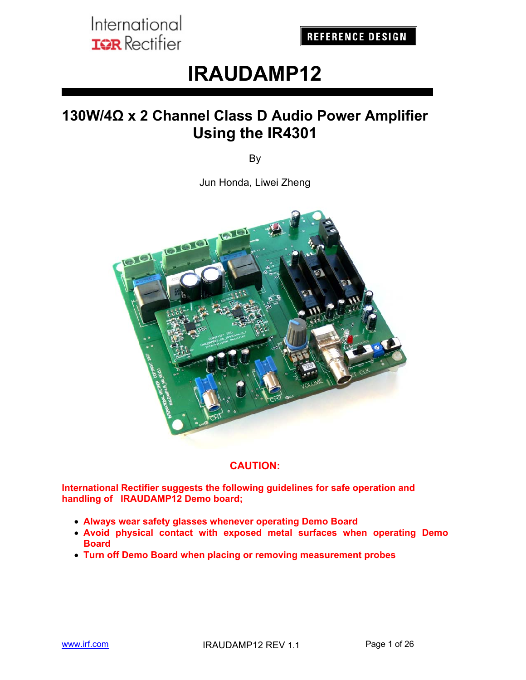# **IRAUDAMP12**

# **130W/4Ω x 2 Channel Class D Audio Power Amplifier Using the IR4301**

By

Jun Honda, Liwei Zheng



#### **CAUTION:**

**International Rectifier suggests the following guidelines for safe operation and handling of IRAUDAMP12 Demo board;** 

- **Always wear safety glasses whenever operating Demo Board**
- **Avoid physical contact with exposed metal surfaces when operating Demo Board**
- **Turn off Demo Board when placing or removing measurement probes**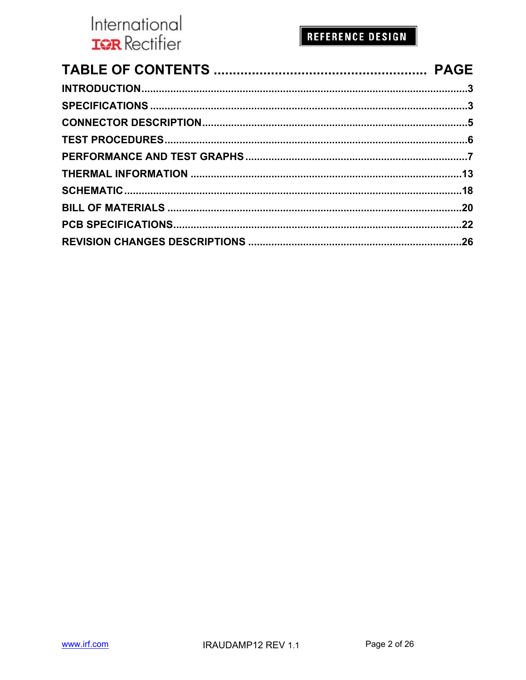## **REFERENCE DESIGN**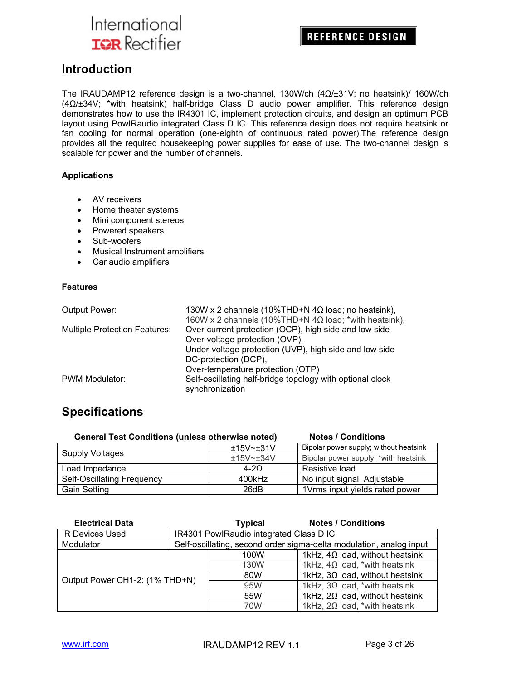**REFERENCE DESIGN** 

#### **Introduction**

The IRAUDAMP12 reference design is a two-channel, 130W/ch (4Ω/±31V; no heatsink)/ 160W/ch (4Ω/±34V; \*with heatsink) half-bridge Class D audio power amplifier. This reference design demonstrates how to use the IR4301 IC, implement protection circuits, and design an optimum PCB layout using PowIRaudio integrated Class D IC. This reference design does not require heatsink or fan cooling for normal operation (one-eighth of continuous rated power).The reference design provides all the required housekeeping power supplies for ease of use. The two-channel design is scalable for power and the number of channels.

#### **Applications**

- AV receivers
- Home theater systems
- Mini component stereos
- Powered speakers
- Sub-woofers
- Musical Instrument amplifiers
- Car audio amplifiers

#### **Features**

| Output Power:                        | 130W x 2 channels (10%THD+N $4\Omega$ load; no heatsink),    |
|--------------------------------------|--------------------------------------------------------------|
|                                      | 160W x 2 channels (10%THD+N $4\Omega$ load; *with heatsink), |
| <b>Multiple Protection Features:</b> | Over-current protection (OCP), high side and low side        |
|                                      | Over-voltage protection (OVP),                               |
|                                      | Under-voltage protection (UVP), high side and low side       |
|                                      | DC-protection (DCP),                                         |
|                                      | Over-temperature protection (OTP)                            |
| PWM Modulator:                       | Self-oscillating half-bridge topology with optional clock    |
|                                      | synchronization                                              |

## **Specifications**

| <b>General Test Conditions (unless otherwise noted)</b> |           | <b>Notes / Conditions</b>              |  |  |
|---------------------------------------------------------|-----------|----------------------------------------|--|--|
| <b>Supply Voltages</b>                                  | ±15V~±31V | Bipolar power supply; without heatsink |  |  |
|                                                         | ±15V~±34V | Bipolar power supply; *with heatsink   |  |  |
| Load Impedance                                          | $4 - 20$  | Resistive load                         |  |  |
| Self-Oscillating Frequency                              | 400kHz    | No input signal, Adjustable            |  |  |
| <b>Gain Setting</b>                                     | 26dB      | 1Vrms input yields rated power         |  |  |

| <b>Electrical Data</b>         |     | <b>Typical</b>                                                      | <b>Notes / Conditions</b>              |  |  |  |  |
|--------------------------------|-----|---------------------------------------------------------------------|----------------------------------------|--|--|--|--|
| <b>IR Devices Used</b>         |     | IR4301 PowlRaudio integrated Class D IC                             |                                        |  |  |  |  |
| Modulator                      |     | Self-oscillating, second order sigma-delta modulation, analog input |                                        |  |  |  |  |
|                                |     | 100W                                                                | 1kHz, $4\Omega$ load, without heatsink |  |  |  |  |
|                                |     | 130W                                                                | 1kHz, $4\Omega$ load, *with heatsink   |  |  |  |  |
|                                |     | 80W                                                                 | 1kHz, $3\Omega$ load, without heatsink |  |  |  |  |
| Output Power CH1-2: (1% THD+N) |     | 95W                                                                 | 1kHz, $3\Omega$ load, *with heatsink   |  |  |  |  |
|                                | 55W |                                                                     | 1kHz, $2\Omega$ load, without heatsink |  |  |  |  |
|                                |     | 70W                                                                 | 1kHz, $2\Omega$ load, *with heatsink   |  |  |  |  |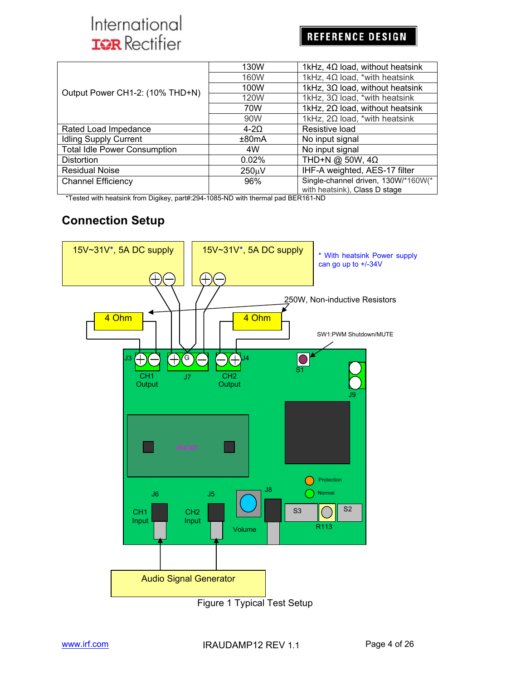## **REFERENCE DESIGN**

|                                     | 130W        | 1kHz, $4\Omega$ load, without heatsink                               |
|-------------------------------------|-------------|----------------------------------------------------------------------|
|                                     | 160W        | 1kHz, $4\Omega$ load, *with heatsink                                 |
| Output Power CH1-2: (10% THD+N)     | 100W        | 1kHz, $3\Omega$ load, without heatsink                               |
|                                     | 120W        | 1kHz, $3\Omega$ load, *with heatsink                                 |
|                                     | 70W         | 1kHz, $2\Omega$ load, without heatsink                               |
|                                     | 90W         | 1kHz, $2\Omega$ load, *with heatsink                                 |
| Rated Load Impedance                | $4 - 20$    | Resistive load                                                       |
| <b>Idling Supply Current</b>        | ±80mA       | No input signal                                                      |
| <b>Total Idle Power Consumption</b> | 4W          | No input signal                                                      |
| <b>Distortion</b>                   | 0.02%       | THD+N @ 50W, $4\Omega$                                               |
| <b>Residual Noise</b>               | $250 \mu V$ | IHF-A weighted, AES-17 filter                                        |
| <b>Channel Efficiency</b>           | 96%         | Single-channel driven, 130W/*160W(*<br>with heatsink), Class D stage |

\*Tested with heatsink from Digikey, part#:294-1085-ND with thermal pad BER161-ND

## **Connection Setup**



Figure 1 Typical Test Setup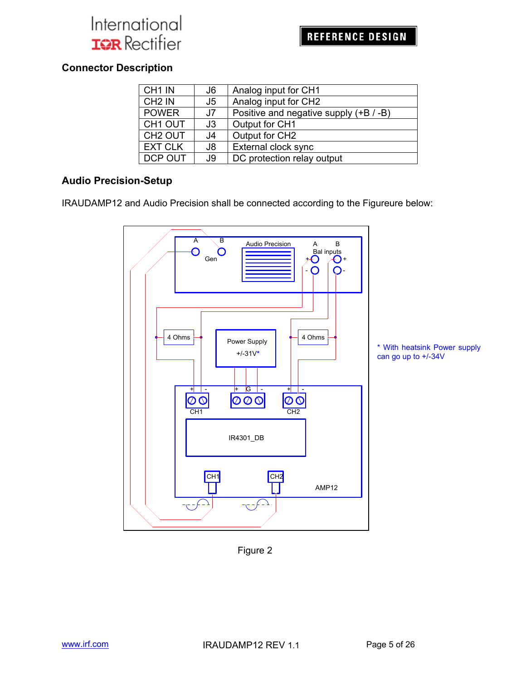## **Connector Description**

| CH <sub>1</sub> IN  | J6 | Analog input for CH1                   |
|---------------------|----|----------------------------------------|
| CH <sub>2</sub> IN  | J5 | Analog input for CH2                   |
| <b>POWER</b>        | J7 | Positive and negative supply (+B / -B) |
| CH <sub>1</sub> OUT | J3 | Output for CH1                         |
| CH <sub>2</sub> OUT | J4 | Output for CH2                         |
| <b>EXT CLK</b>      | J8 | External clock sync                    |
| DCP OUT             | J9 | DC protection relay output             |

#### **Audio Precision-Setup**

IRAUDAMP12 and Audio Precision shall be connected according to the Figureure below:



Figure 2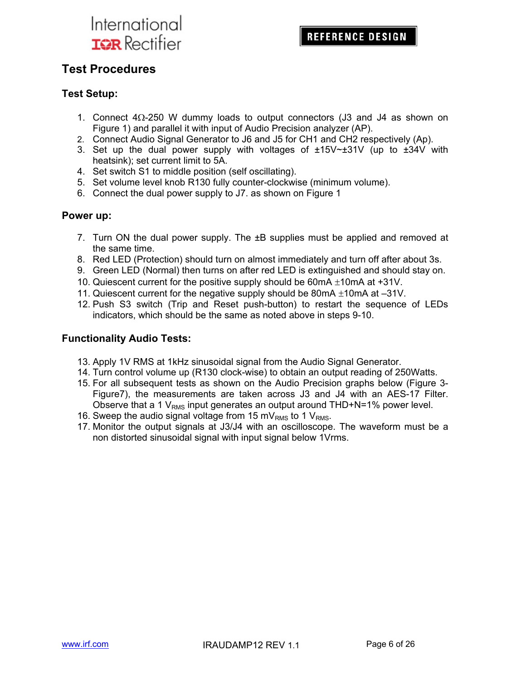## **Test Procedures**

#### **Test Setup:**

- 1. Connect  $4\Omega$ -250 W dummy loads to output connectors (J3 and J4 as shown on Figure 1) and parallel it with input of Audio Precision analyzer (AP).
- 2. Connect Audio Signal Generator to J6 and J5 for CH1 and CH2 respectively (Ap).
- 3. Set up the dual power supply with voltages of  $\pm 15V \sim \pm 31V$  (up to  $\pm 34V$  with heatsink); set current limit to 5A.
- 4. Set switch S1 to middle position (self oscillating).
- 5. Set volume level knob R130 fully counter-clockwise (minimum volume).
- 6. Connect the dual power supply to J7. as shown on Figure 1

#### **Power up:**

- 7. Turn ON the dual power supply. The ±B supplies must be applied and removed at the same time.
- 8. Red LED (Protection) should turn on almost immediately and turn off after about 3s.
- 9. Green LED (Normal) then turns on after red LED is extinguished and should stay on.
- 10. Quiescent current for the positive supply should be 60mA  $\pm$ 10mA at +31V.
- 11. Quiescent current for the negative supply should be 80mA  $\pm$ 10mA at –31V.
- 12. Push S3 switch (Trip and Reset push-button) to restart the sequence of LEDs indicators, which should be the same as noted above in steps 9-10.

#### **Functionality Audio Tests:**

- 13. Apply 1V RMS at 1kHz sinusoidal signal from the Audio Signal Generator.
- 14. Turn control volume up (R130 clock-wise) to obtain an output reading of 250Watts.
- 15. For all subsequent tests as shown on the Audio Precision graphs below (Figure 3- Figure7), the measurements are taken across J3 and J4 with an AES-17 Filter. Observe that a 1  $V<sub>RMS</sub>$  input generates an output around THD+N=1% power level.
- 16. Sweep the audio signal voltage from 15 mV<sub>RMS</sub> to 1 V<sub>RMS</sub>.
- 17. Monitor the output signals at J3/J4 with an oscilloscope. The waveform must be a non distorted sinusoidal signal with input signal below 1Vrms.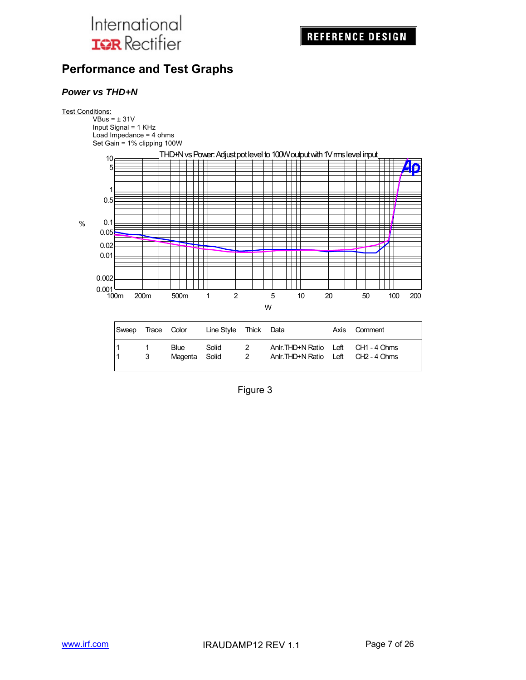## **Performance and Test Graphs**

#### *Power vs THD+N*

#### Test Conditions:

VBus = ± 31V Input Signal = 1 KHz Load Impedance = 4 ohms Set Gain = 1% clipping 100W



| Sweep Trace Color |        |                              | Line Style Thick Data |                                 |                                                                            | Axis Comment |
|-------------------|--------|------------------------------|-----------------------|---------------------------------|----------------------------------------------------------------------------|--------------|
|                   | 1<br>3 | <b>Blue</b><br>Magenta Solid | Solid                 | 2<br>$\overline{\phantom{a}}^2$ | Anir. THD+N Ratio Left CH1 - 4 Ohms<br>Anir. THD+N Ratio Left CH2 - 4 Ohms |              |

Figure 3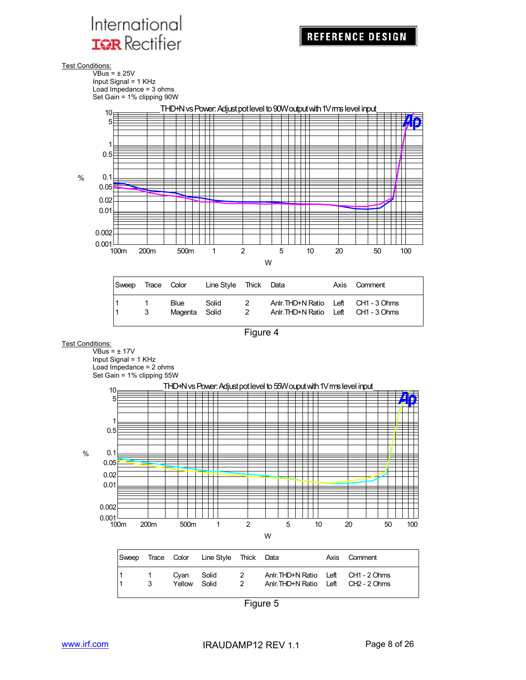Test Conditions:





| Sweep     | Trace Color |                              | Line Style Thick Data |                      |                                                                            | Axis Comment |
|-----------|-------------|------------------------------|-----------------------|----------------------|----------------------------------------------------------------------------|--------------|
| l 1<br>11 | 3           | <b>Blue</b><br>Magenta Solid | Solid                 | -2<br>$\overline{2}$ | Anir. THD+N Ratio Left CH1 - 3 Ohms<br>Anir. THD+N Ratio Left CH1 - 3 Ohms |              |

Figure 4

#### Test Conditions:

 $\overline{\text{VBus}}$  =  $\pm$  17V Input Signal = 1 KHz Load Impedance = 2 ohms Set Gain = 1% clipping 55W



| Sweep |               |                      | Trace Color Line Style Thick Data |                                  |                                                                            | Axis Comment |
|-------|---------------|----------------------|-----------------------------------|----------------------------------|----------------------------------------------------------------------------|--------------|
|       | $\sim$ 1<br>3 | Cvan<br>Yellow Solid | Solid                             | $\overline{2}$<br>$\overline{2}$ | Anir. THD+N Ratio Left CH1 - 2 Ohms<br>Anir. THD+N Ratio Left CH2 - 2 Ohms |              |

Figure 5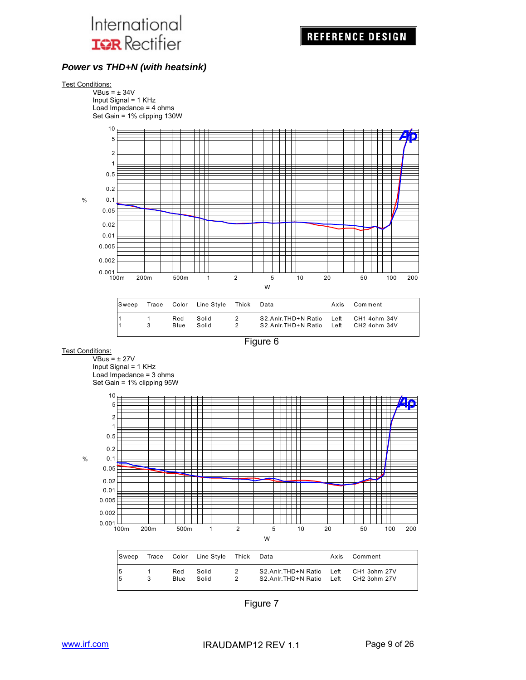#### *Power vs THD+N (with heatsink)*



| Sweep |                    | Trace Color Line Style | Thick  | Data                                                                           | Axis | Comment |
|-------|--------------------|------------------------|--------|--------------------------------------------------------------------------------|------|---------|
|       | Red<br><b>Blue</b> | Solid<br>Solid         | 2<br>2 | S2.Anlr.THD+N Ratio Left CH1 4ohm 34V<br>S2.Anlr.THD+N Ratio Left CH2 4ohm 34V |      |         |

Figure 6

Test Conditions:

 $VBus =  $\pm$  27V$ Input Signal = 1 KHz

Load Impedance = 3 ohms Set Gain = 1% clipping 95W



| <b>Sweep</b> |   |      | Trace Color Line Style | Thick         | Data                | Axis | Comment      |
|--------------|---|------|------------------------|---------------|---------------------|------|--------------|
| 15           | 3 | Red  | Solid                  | 2             | S2.Anlr.THD+N Ratio | Left | CH1 3ohm 27V |
| 15           |   | Blue | Solid                  | $\mathcal{P}$ | S2.Anlr.THD+N Ratio | Left | CH2 3ohm 27V |

Figure 7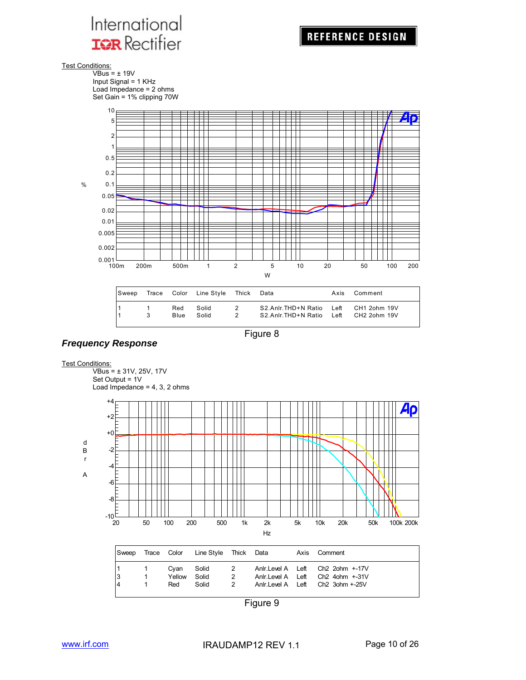

Test Conditions:

VBus = ± 19V Input Signal = 1 KHz Load Impedance = 2 ohms Set Gain = 1% clipping 70W



| Sweep |               |             | Trace Color Line Style Thick Data |        |                                                                                | Axis Comment |
|-------|---------------|-------------|-----------------------------------|--------|--------------------------------------------------------------------------------|--------------|
|       | $\mathcal{R}$ | Red<br>Blue | Solid<br>Solid                    | 2<br>2 | S2.Anlr.THD+N Ratio Left CH1 2ohm 19V<br>S2.Anlr.THD+N Ratio Left CH2 2ohm 19V |              |



#### *Frequency Response*



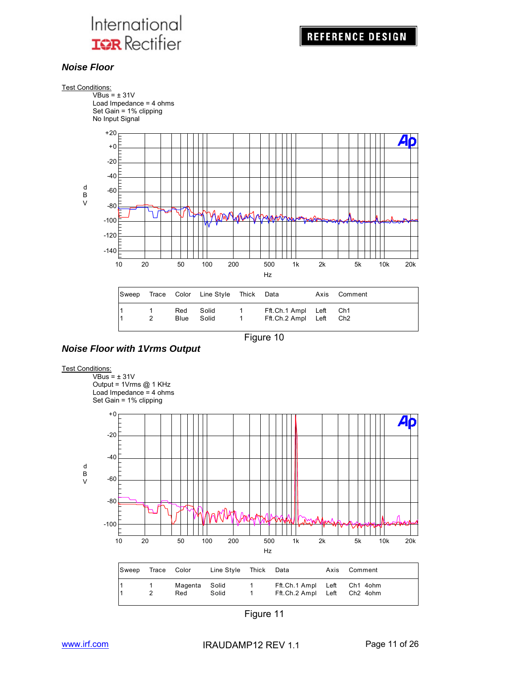

#### *Noise Floor*





*Noise Floor with 1Vrms Output*

#### Test Conditions:

 $VBus = ± 31V$ Output = 1Vrms @ 1 KHz Load Impedance = 4 ohms Set Gain = 1% clipping



Figure 11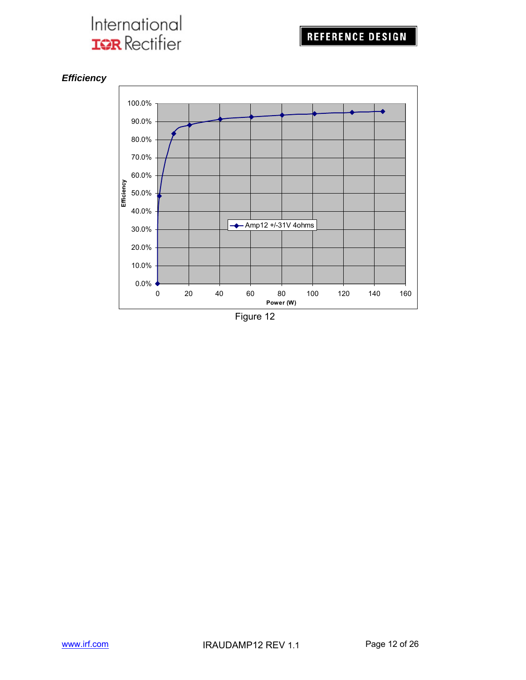



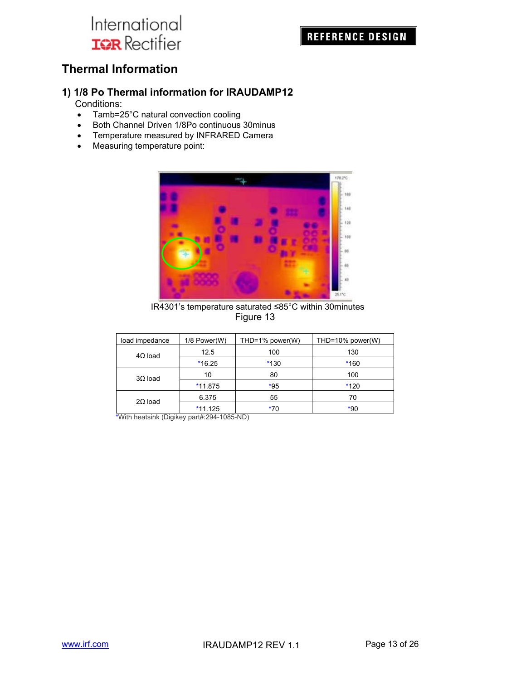## **REFERENCE DESIGN**

## **Thermal Information**

## **1) 1/8 Po Thermal information for IRAUDAMP12**

Conditions:

- Tamb=25°C natural convection cooling
- Both Channel Driven 1/8Po continuous 30minus
- Temperature measured by INFRARED Camera
- Measuring temperature point:



 IR4301's temperature saturated ≤85°C within 30minutes Figure 13

| load impedance | 1/8 Power(W) | THD=1% power(W) | THD=10% power(W) |
|----------------|--------------|-----------------|------------------|
| $4\Omega$ load | 12.5         | 100             | 130              |
|                | $*16.25$     | $*130$          | $*160$           |
| $3\Omega$ load | 10           | 80              | 100              |
|                | $*11.875$    | $*95$           | $*120$           |
| $2\Omega$ load | 6.375        | 55              | 70               |
|                | $*11.125$    | $*70$           | $*90$            |

\*With heatsink (Digikey part#:294-1085-ND)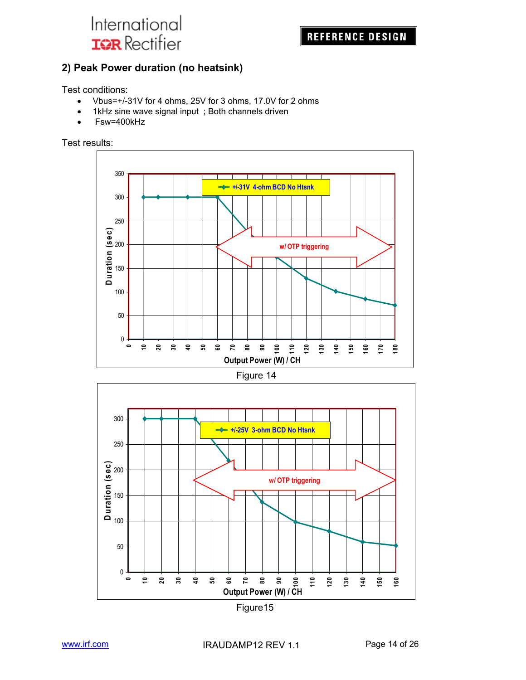

## **2) Peak Power duration (no heatsink)**

Test conditions:

- Vbus=+/-31V for 4 ohms, 25V for 3 ohms, 17.0V for 2 ohms
- 1kHz sine wave signal input; Both channels driven
- Fsw=400kHz

Test results:





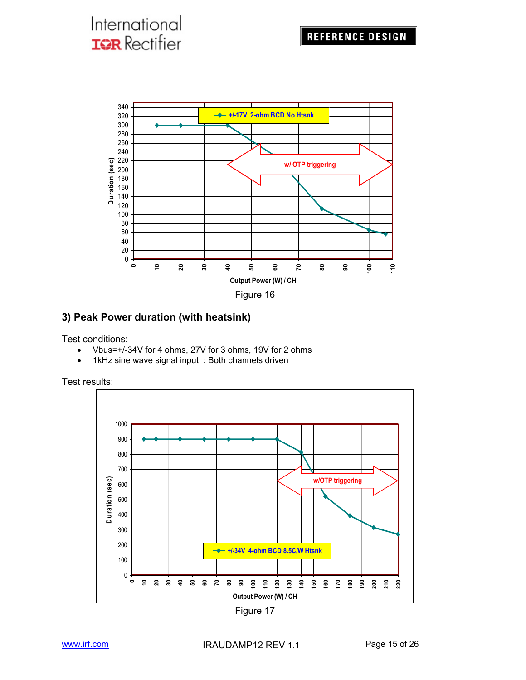

#### **3) Peak Power duration (with heatsink)**

Test conditions:

- Vbus=+/-34V for 4 ohms, 27V for 3 ohms, 19V for 2 ohms
- 1kHz sine wave signal input ; Both channels driven

Test results:



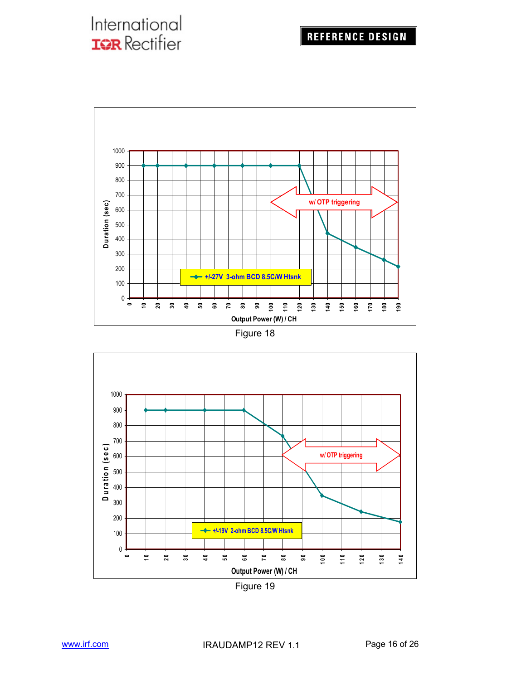



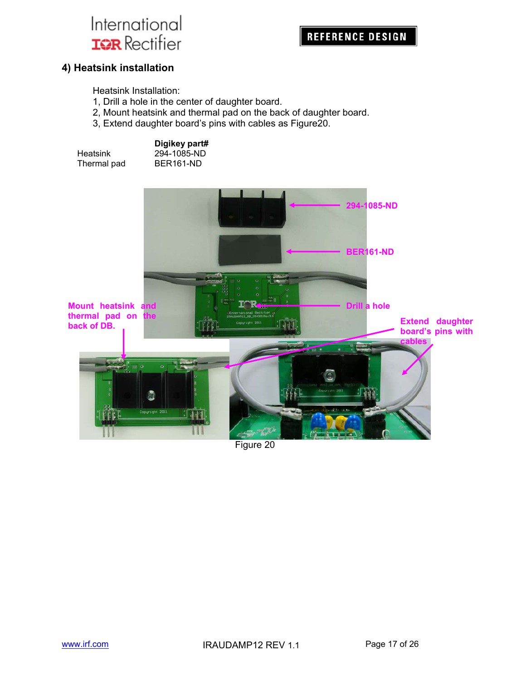## **REFERENCE DESIGN**

#### **4) Heatsink installation**

Heatsink Installation:

- 1, Drill a hole in the center of daughter board.
- 2, Mount heatsink and thermal pad on the back of daughter board.
- 3, Extend daughter board's pins with cables as Figure20.

| Heatsink    |  |
|-------------|--|
| Thermal pad |  |

**Digikey part#**   $294 - 1085 - ND$ BER161-ND



Figure 20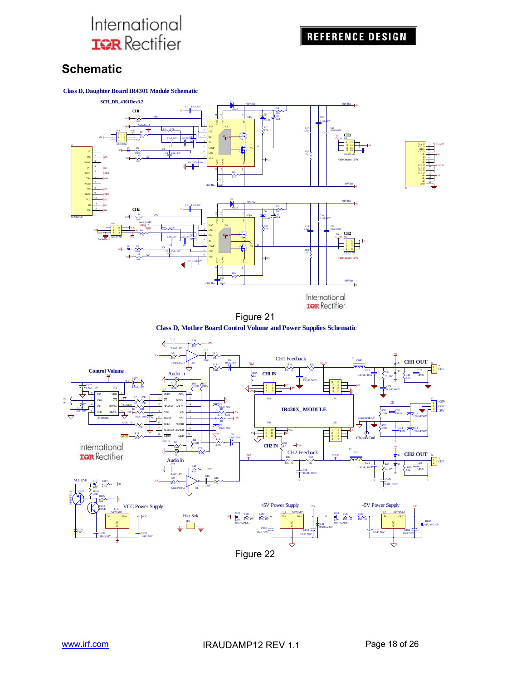## **Schematic**







Figure 21



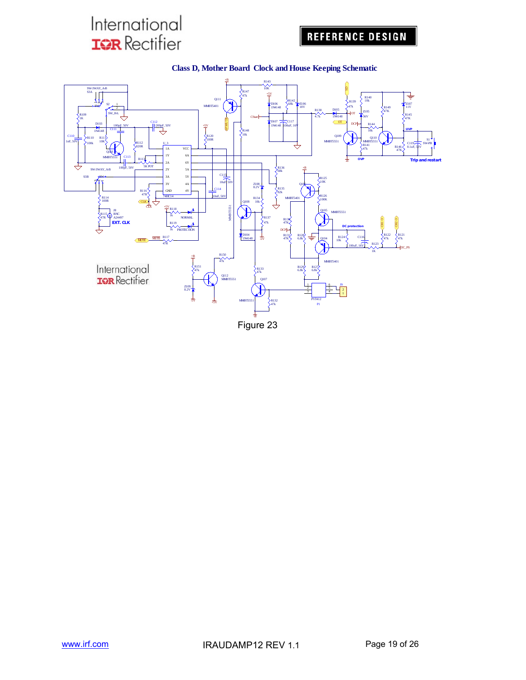## **REFERENCE DESIGN**



#### **Class D, Mother Board Clock and House Keeping Schematic**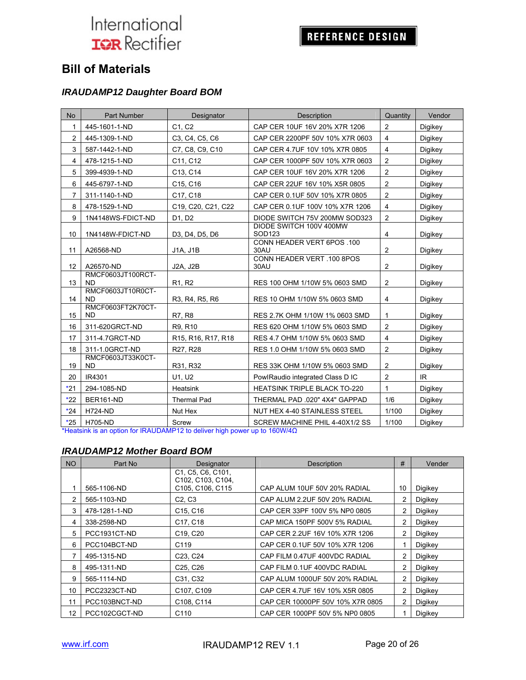## REFERENCE DESIGN

## **Bill of Materials**

#### *IRAUDAMP12 Daughter Board BOM*

| <b>No</b>      | Part Number                    | <b>Designator</b>                                                     | <b>Description</b>                        | Quantity       | Vendor  |
|----------------|--------------------------------|-----------------------------------------------------------------------|-------------------------------------------|----------------|---------|
| 1              | 445-1601-1-ND                  | C <sub>1</sub> . C <sub>2</sub>                                       | CAP CER 10UF 16V 20% X7R 1206             | $\overline{2}$ | Digikey |
| $\overline{2}$ | 445-1309-1-ND                  | C <sub>3</sub> , C <sub>4</sub> , C <sub>5</sub> , C <sub>6</sub>     | CAP CER 2200PF 50V 10% X7R 0603           | 4              | Digikey |
| 3              | 587-1442-1-ND                  | C7, C8, C9, C10                                                       | CAP CER 4.7UF 10V 10% X7R 0805            | 4              | Digikey |
| 4              | 478-1215-1-ND                  | C11. C12                                                              | CAP CER 1000PF 50V 10% X7R 0603           | $\overline{2}$ | Digikey |
| 5              | 399-4939-1-ND                  | C13, C14                                                              | CAP CER 10UF 16V 20% X7R 1206             | $\overline{2}$ | Digikey |
| 6              | 445-6797-1-ND                  | C15, C16                                                              | CAP CER 22UF 16V 10% X5R 0805             | $\overline{2}$ | Digikey |
| 7              | 311-1140-1-ND                  | C17, C18                                                              | CAP CER 0.1UF 50V 10% X7R 0805            | $\overline{2}$ | Digikey |
| 8              | 478-1529-1-ND                  | C19, C20, C21, C22                                                    | CAP CER 0.1UF 100V 10% X7R 1206           | $\overline{4}$ | Digikey |
| 9              | 1N4148WS-FDICT-ND              | D1, D2                                                                | DIODE SWITCH 75V 200MW SOD323             | $\overline{2}$ | Digikey |
| 10             | 1N4148W-FDICT-ND               | D3, D4, D5, D6                                                        | DIODE SWITCH 100V 400MW<br>SOD123         | 4              | Digikey |
| 11             | A26568-ND                      | J1A, J1B                                                              | CONN HEADER VERT 6POS .100<br>30AU        | 2              | Digikey |
| 12             | A26570-ND                      | <b>J2A, J2B</b>                                                       | <b>CONN HEADER VERT .100 8POS</b><br>30AU | 2              | Digikey |
| 13             | RMCF0603JT100RCT-<br><b>ND</b> | R <sub>1</sub> , R <sub>2</sub>                                       | RES 100 OHM 1/10W 5% 0603 SMD             | $\overline{2}$ | Digikey |
| 14             | RMCF0603JT10R0CT-<br><b>ND</b> | R3, R4, R5, R6                                                        | RES 10 OHM 1/10W 5% 0603 SMD              | 4              | Digikey |
| 15             | RMCF0603FT2K70CT-<br><b>ND</b> | R7, R8                                                                | RES 2.7K OHM 1/10W 1% 0603 SMD            | 1              | Digikey |
| 16             | 311-620GRCT-ND                 | R9, R10                                                               | RES 620 OHM 1/10W 5% 0603 SMD             | 2              | Digikey |
| 17             | 311-4.7GRCT-ND                 | R <sub>15</sub> , R <sub>16</sub> , R <sub>17</sub> , R <sub>18</sub> | RES 4.7 OHM 1/10W 5% 0603 SMD             | $\overline{4}$ | Digikey |
| 18             | 311-1.0GRCT-ND                 | R27, R28                                                              | RES 1.0 OHM 1/10W 5% 0603 SMD             | 2              | Digikey |
| 19             | RMCF0603JT33K0CT-<br><b>ND</b> | R31, R32                                                              | RES 33K OHM 1/10W 5% 0603 SMD             | 2              | Digikey |
| 20             | IR4301                         | U1. U2                                                                | PowlRaudio integrated Class D IC          | $\overline{2}$ | IR.     |
| $*21$          | 294-1085-ND                    | Heatsink                                                              | <b>HEATSINK TRIPLE BLACK TO-220</b>       | 1              | Digikey |
| $*22$          | BER161-ND                      | <b>Thermal Pad</b>                                                    | THERMAL PAD .020" 4X4" GAPPAD             | 1/6            | Digikey |
| $*24$          | <b>H724-ND</b>                 | Nut Hex                                                               | NUT HEX 4-40 STAINLESS STEEL              | 1/100          | Digikey |
| $*25$          | <b>H705-ND</b>                 | Screw                                                                 | SCREW MACHINE PHIL 4-40X1/2 SS            | 1/100          | Digikey |

\*Heatsink is an option for IRAUDAMP12 to deliver high power up to 160W/4Ω

#### *IRAUDAMP12 Mother Board BOM*

| <b>NO</b> | Part No       | Designator                                                                    | <b>Description</b>               | #  | Vender  |
|-----------|---------------|-------------------------------------------------------------------------------|----------------------------------|----|---------|
|           |               | C1, C5, C6, C101,<br>C <sub>102</sub> , C <sub>103</sub> , C <sub>104</sub> , |                                  |    |         |
|           | 565-1106-ND   | C105, C106, C115                                                              | CAP ALUM 10UF 50V 20% RADIAL     | 10 | Digikey |
| 2         | 565-1103-ND   | C2, C3                                                                        | CAP ALUM 2.2UF 50V 20% RADIAL    | 2  | Digikey |
| 3         | 478-1281-1-ND | C <sub>15</sub> , C <sub>16</sub>                                             | CAP CER 33PF 100V 5% NP0 0805    | 2  | Digikey |
| 4         | 338-2598-ND   | C <sub>17</sub> , C <sub>18</sub>                                             | CAP MICA 150PF 500V 5% RADIAL    | 2  | Digikey |
| 5         | PCC1931CT-ND  | C19, C20                                                                      | CAP CER 2.2UF 16V 10% X7R 1206   | 2  | Digikey |
| 6         | PCC104BCT-ND  | C <sub>119</sub>                                                              | CAP CER 0.1UF 50V 10% X7R 1206   |    | Digikey |
|           | 495-1315-ND   | C <sub>23</sub> , C <sub>24</sub>                                             | CAP FILM 0.47UF 400VDC RADIAL    | 2  | Digikey |
| 8         | 495-1311-ND   | C <sub>25</sub> , C <sub>26</sub>                                             | CAP FILM 0.1UF 400VDC RADIAL     | 2  | Digikey |
| 9         | 565-1114-ND   | C31, C32                                                                      | CAP ALUM 1000UF 50V 20% RADIAL   | 2  | Digikey |
| 10        | PCC2323CT-ND  | C <sub>107</sub> , C <sub>109</sub>                                           | CAP CER 4.7UF 16V 10% X5R 0805   | 2  | Digikey |
| 11        | PCC103BNCT-ND | C108, C114                                                                    | CAP CER 10000PF 50V 10% X7R 0805 | 2  | Digikey |
| 12        | PCC102CGCT-ND | C <sub>110</sub>                                                              | CAP CER 1000PF 50V 5% NP0 0805   |    | Digikey |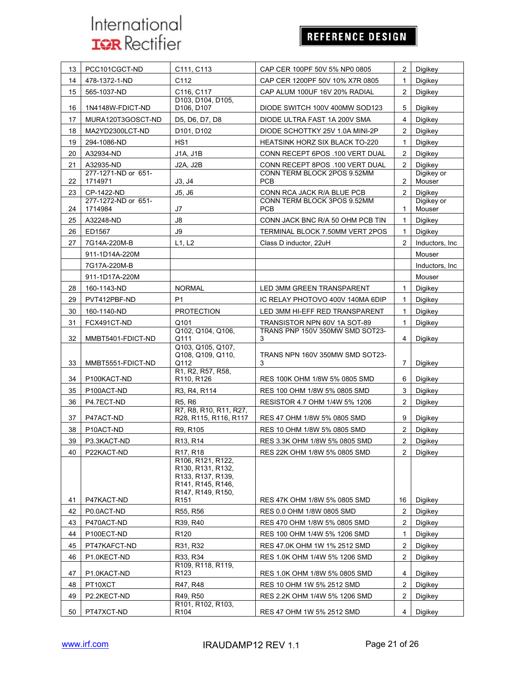# REFERENCE DESIGN

| 13 | PCC101CGCT-ND                  | C111, C113                                                                                            | CAP CER 100PF 50V 5% NP0 0805             | 2              | Digikey              |
|----|--------------------------------|-------------------------------------------------------------------------------------------------------|-------------------------------------------|----------------|----------------------|
| 14 | 478-1372-1-ND                  | C112                                                                                                  | CAP CER 1200PF 50V 10% X7R 0805           | 1              | Digikey              |
| 15 | 565-1037-ND                    | C116, C117                                                                                            | CAP ALUM 100UF 16V 20% RADIAL             | 2              | Digikey              |
| 16 | 1N4148W-FDICT-ND               | D103, D104, D105,<br>D106, D107                                                                       | DIODE SWITCH 100V 400MW SOD123            | 5              | Digikey              |
| 17 | MURA120T3GOSCT-ND              | D5, D6, D7, D8                                                                                        | DIODE ULTRA FAST 1A 200V SMA              | 4              | Digikey              |
| 18 | MA2YD2300LCT-ND                | D101, D102                                                                                            | DIODE SCHOTTKY 25V 1.0A MINI-2P           | 2              | Digikey              |
| 19 | 294-1086-ND                    | HS <sub>1</sub>                                                                                       | HEATSINK HORZ SIX BLACK TO-220            | 1              | Digikey              |
| 20 | A32934-ND                      | J1A, J1B                                                                                              | CONN RECEPT 6POS .100 VERT DUAL           | 2              | Digikey              |
| 21 | A32935-ND                      | J2A, J2B                                                                                              | CONN RECEPT 8POS .100 VERT DUAL           | $\overline{2}$ | Digikey              |
| 22 | 277-1271-ND or 651-<br>1714971 | J3, J4                                                                                                | CONN TERM BLOCK 2POS 9.52MM<br><b>PCB</b> | $\overline{2}$ | Digikey or<br>Mouser |
| 23 | CP-1422-ND                     | J5, J6                                                                                                | CONN RCA JACK R/A BLUE PCB                | 2              | Digikey              |
|    | 277-1272-ND or 651-            |                                                                                                       | CONN TERM BLOCK 3POS 9.52MM               |                | Digikey or           |
| 24 | 1714984                        | J7                                                                                                    | <b>PCB</b>                                | 1              | Mouser               |
| 25 | A32248-ND                      | J8                                                                                                    | CONN JACK BNC R/A 50 OHM PCB TIN          | 1              | Digikey              |
| 26 | ED1567                         | J9                                                                                                    | TERMINAL BLOCK 7.50MM VERT 2POS           | 1              | Digikey              |
| 27 | 7G14A-220M-B                   | L1, L2                                                                                                | Class D inductor, 22uH                    | $\overline{2}$ | Inductors, Inc.      |
|    | 911-1D14A-220M                 |                                                                                                       |                                           |                | Mouser               |
|    | 7G17A-220M-B                   |                                                                                                       |                                           |                | Inductors, Inc       |
|    | 911-1D17A-220M                 |                                                                                                       |                                           |                | Mouser               |
| 28 | 160-1143-ND                    | <b>NORMAL</b>                                                                                         | <b>LED 3MM GREEN TRANSPARENT</b>          | 1              | Digikey              |
| 29 | PVT412PBF-ND                   | P <sub>1</sub>                                                                                        | IC RELAY PHOTOVO 400V 140MA 6DIP          | 1              | Digikey              |
| 30 | 160-1140-ND                    | <b>PROTECTION</b>                                                                                     | LED 3MM HI-EFF RED TRANSPARENT            | 1              | Digikey              |
| 31 | FCX491CT-ND                    | Q101                                                                                                  | TRANSISTOR NPN 60V 1A SOT-89              | 1              | Digikey              |
| 32 | MMBT5401-FDICT-ND              | Q102, Q104, Q106,<br>Q111                                                                             | TRANS PNP 150V 350MW SMD SOT23-<br>3      | 4              | Digikey              |
| 33 | MMBT5551-FDICT-ND              | Q103, Q105, Q107,<br>Q108, Q109, Q110,<br>Q112                                                        | TRANS NPN 160V 350MW SMD SOT23-<br>3      | 7              | Digikey              |
| 34 | P100KACT-ND                    | R1, R2, R57, R58,<br>R110, R126                                                                       | RES 100K OHM 1/8W 5% 0805 SMD             | 6              | Digikey              |
| 35 | P100ACT-ND                     | R3, R4, R114                                                                                          | RES 100 OHM 1/8W 5% 0805 SMD              | 3              | Digikey              |
| 36 | P4.7ECT-ND                     | R <sub>5</sub> , R <sub>6</sub>                                                                       | RESISTOR 4.7 OHM 1/4W 5% 1206             | $\overline{2}$ | Digikey              |
| 37 | P47ACT-ND                      | R7, R8, R10, R11, R27,<br>R28, R115, R116, R117                                                       | RES 47 OHM 1/8W 5% 0805 SMD               | 9              | Digikey              |
| 38 | P10ACT-ND                      | R9, R105                                                                                              | RES 10 OHM 1/8W 5% 0805 SMD               | 2              | Digikey              |
| 39 | P3.3KACT-ND                    | R <sub>13</sub> , R <sub>14</sub>                                                                     | RES 3.3K OHM 1/8W 5% 0805 SMD             | $\overline{2}$ | Digikey              |
| 40 | P22KACT-ND                     | R <sub>17</sub> , R <sub>18</sub>                                                                     | RES 22K OHM 1/8W 5% 0805 SMD              | 2              | Digikey              |
|    |                                | R106, R121, R122,<br>R130, R131, R132,<br>R133, R137, R139,<br>R141, R145, R146,<br>R147, R149, R150, |                                           |                |                      |
| 41 | P47KACT-ND                     | R151                                                                                                  | RES 47K OHM 1/8W 5% 0805 SMD              | 16             | Digikey              |
| 42 | P0.0ACT-ND                     | R55, R56                                                                                              | RES 0.0 OHM 1/8W 0805 SMD                 | 2              | Digikey              |
| 43 | P470ACT-ND                     | R39, R40                                                                                              | RES 470 OHM 1/8W 5% 0805 SMD              | 2              | Digikey              |
| 44 | P100ECT-ND                     | R120                                                                                                  | RES 100 OHM 1/4W 5% 1206 SMD              | 1              | Digikey              |
| 45 | PT47KAFCT-ND                   | R31, R32                                                                                              | RES 47.0K OHM 1W 1% 2512 SMD              | 2              | Digikey              |
| 46 | P1.0KECT-ND                    | R33, R34                                                                                              | RES 1.0K OHM 1/4W 5% 1206 SMD             | $\overline{2}$ | Digikey              |
| 47 | P1.0KACT-ND                    | R109, R118, R119,<br>R123                                                                             | RES 1.0K OHM 1/8W 5% 0805 SMD             | 4              | Digikey              |
| 48 | PT10XCT                        | R47, R48                                                                                              | RES 10 OHM 1W 5% 2512 SMD                 | 2              | Digikey              |
| 49 | P2.2KECT-ND                    | R49, R50<br>R101, R102, R103,                                                                         | RES 2.2K OHM 1/4W 5% 1206 SMD             | 2              | Digikey              |
| 50 | PT47XCT-ND                     | R <sub>104</sub>                                                                                      | RES 47 OHM 1W 5% 2512 SMD                 | 4              | Digikey              |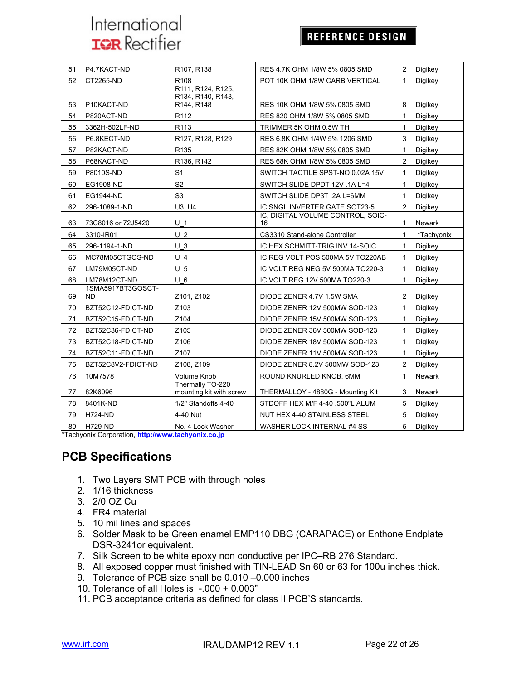## **REFERENCE DESIGN**

| 51 | P4.7KACT-ND             | R107, R138                                           | RES 4.7K OHM 1/8W 5% 0805 SMD           | 2              | Digikey       |
|----|-------------------------|------------------------------------------------------|-----------------------------------------|----------------|---------------|
| 52 | CT2265-ND               | R <sub>108</sub>                                     | POT 10K OHM 1/8W CARB VERTICAL          | 1              | Digikey       |
| 53 | P10KACT-ND              | R111, R124, R125,<br>R134, R140, R143,<br>R144, R148 | RES 10K OHM 1/8W 5% 0805 SMD            | 8              | Digikey       |
| 54 | P820ACT-ND              | R <sub>112</sub>                                     | RES 820 OHM 1/8W 5% 0805 SMD            | 1              | Digikey       |
| 55 | 3362H-502LF-ND          | R <sub>113</sub>                                     | TRIMMER 5K OHM 0.5W TH                  | $\mathbf 1$    | Digikey       |
| 56 | P6.8KECT-ND             | R127, R128, R129                                     | RES 6.8K OHM 1/4W 5% 1206 SMD           | 3              | Digikey       |
| 57 | P82KACT-ND              | R135                                                 | RES 82K OHM 1/8W 5% 0805 SMD            | $\mathbf 1$    | Digikey       |
| 58 | P68KACT-ND              | R136, R142                                           | RES 68K OHM 1/8W 5% 0805 SMD            | 2              | Digikey       |
| 59 | P8010S-ND               | S <sub>1</sub>                                       | SWITCH TACTILE SPST-NO 0.02A 15V        | $\mathbf{1}$   | Digikey       |
| 60 | EG1908-ND               | S <sub>2</sub>                                       | SWITCH SLIDE DPDT 12V .1A L=4           | 1              | Digikey       |
| 61 | EG1944-ND               | S <sub>3</sub>                                       | SWITCH SLIDE DP3T .2A L=6MM             | 1              | Digikey       |
| 62 | 296-1089-1-ND           | U3, U4                                               | IC SNGL INVERTER GATE SOT23-5           | $\overline{2}$ | Digikey       |
| 63 | 73C8016 or 72J5420      | U <sub>1</sub>                                       | IC. DIGITAL VOLUME CONTROL. SOIC-<br>16 | 1              | <b>Newark</b> |
| 64 | 3310-IR01               | U <sub>2</sub>                                       | CS3310 Stand-alone Controller           | $\mathbf{1}$   | *Tachyonix    |
| 65 | 296-1194-1-ND           | $U_3$                                                | IC HEX SCHMITT-TRIG INV 14-SOIC         | $\mathbf{1}$   | Digikey       |
| 66 | MC78M05CTGOS-ND         | $U$ 4                                                | IC REG VOLT POS 500MA 5V TO220AB        | $\mathbf{1}$   | Digikey       |
| 67 | LM79M05CT-ND            | U <sub>5</sub>                                       | IC VOLT REG NEG 5V 500MA TO220-3        | $\mathbf{1}$   | Digikey       |
| 68 | LM78M12CT-ND            | $U_6$                                                | IC VOLT REG 12V 500MA TO220-3           | 1              | Digikey       |
| 69 | 1SMA5917BT3GOSCT-<br>ND | Z101, Z102                                           | DIODE ZENER 4.7V 1.5W SMA               | $\overline{c}$ | Digikey       |
| 70 | BZT52C12-FDICT-ND       | Z103                                                 | DIODE ZENER 12V 500MW SOD-123           | 1              | Digikey       |
| 71 | BZT52C15-FDICT-ND       | Z104                                                 | DIODE ZENER 15V 500MW SOD-123           | 1              | Digikey       |
| 72 | BZT52C36-FDICT-ND       | Z105                                                 | DIODE ZENER 36V 500MW SOD-123           | $\mathbf{1}$   | Digikey       |
| 73 | BZT52C18-FDICT-ND       | Z106                                                 | DIODE ZENER 18V 500MW SOD-123           | 1              | Digikey       |
| 74 | BZT52C11-FDICT-ND       | Z107                                                 | DIODE ZENER 11V 500MW SOD-123           | 1              | Digikey       |
| 75 | BZT52C8V2-FDICT-ND      | Z108, Z109                                           | DIODE ZENER 8.2V 500MW SOD-123          | 2              | Digikey       |
| 76 | 10M7578                 | Volume Knob                                          | ROUND KNURLED KNOB, 6MM                 | 1              | <b>Newark</b> |
| 77 | 82K6096                 | Thermally TO-220<br>mounting kit with screw          | THERMALLOY - 4880G - Mounting Kit       | 3              | <b>Newark</b> |
| 78 | 8401K-ND                | 1/2" Standoffs 4-40                                  | STDOFF HEX M/F 4-40 .500"L ALUM         | 5              | Digikey       |
| 79 | <b>H724-ND</b>          | 4-40 Nut                                             | NUT HEX 4-40 STAINLESS STEEL            | 5              | Digikey       |
| 80 | <b>H729-ND</b>          | No. 4 Lock Washer                                    | WASHER LOCK INTERNAL #4 SS              | 5              | Digikey       |

\*Tachyonix Corporation, **http://www.tachyonix.co.jp**

## **PCB Specifications**

- 1. Two Layers SMT PCB with through holes
- 2. 1/16 thickness
- 3. 2/0 OZ Cu
- 4. FR4 material
- 5. 10 mil lines and spaces
- 6. Solder Mask to be Green enamel EMP110 DBG (CARAPACE) or Enthone Endplate DSR-3241or equivalent.
- 7. Silk Screen to be white epoxy non conductive per IPC–RB 276 Standard.
- 8. All exposed copper must finished with TIN-LEAD Sn 60 or 63 for 100u inches thick.
- 9. Tolerance of PCB size shall be 0.010 –0.000 inches
- 10. Tolerance of all Holes is -.000 + 0.003"
- 11. PCB acceptance criteria as defined for class II PCB'S standards.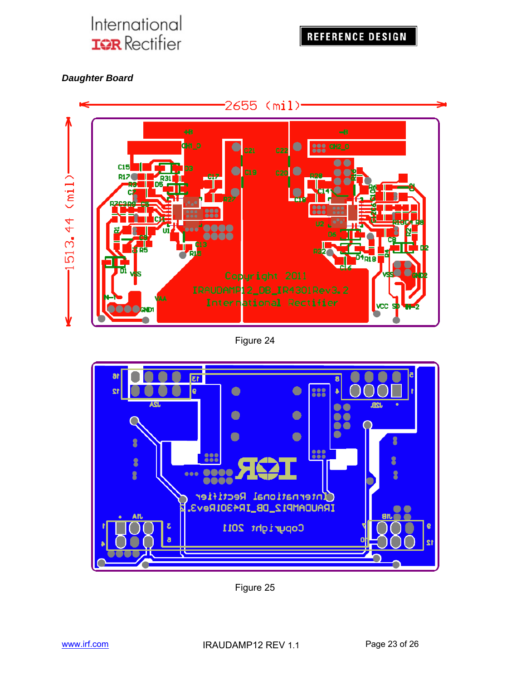

#### *Daughter Board*



#### Figure 24



Figure 25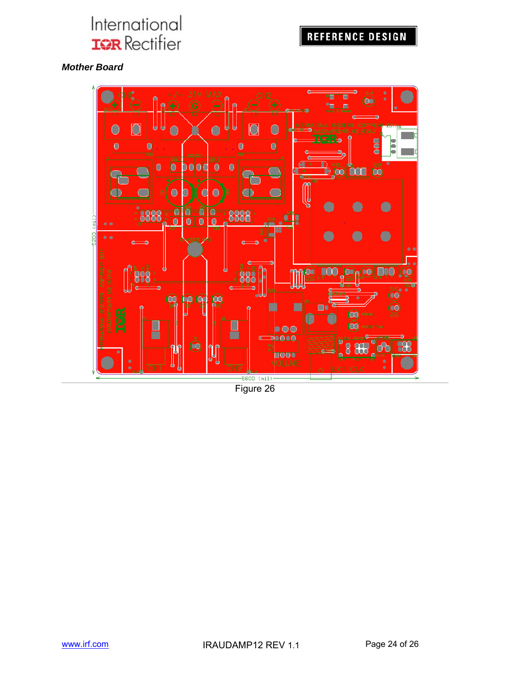## **REFERENCE DESIGN**

#### *Mother Board*

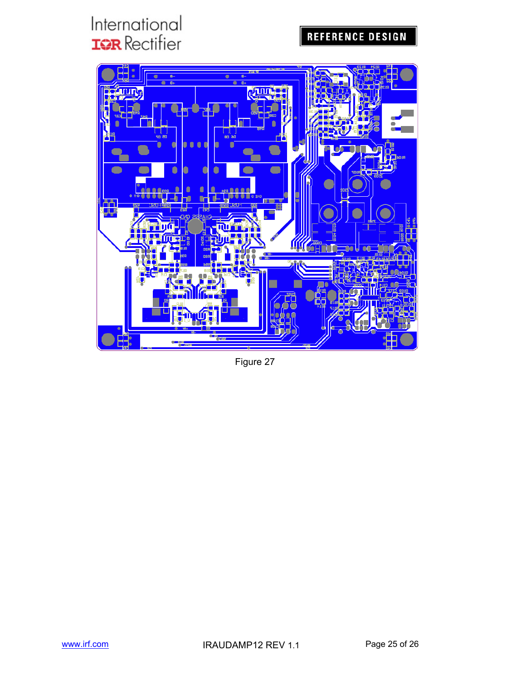## **REFERENCE DESIGN**



Figure 27